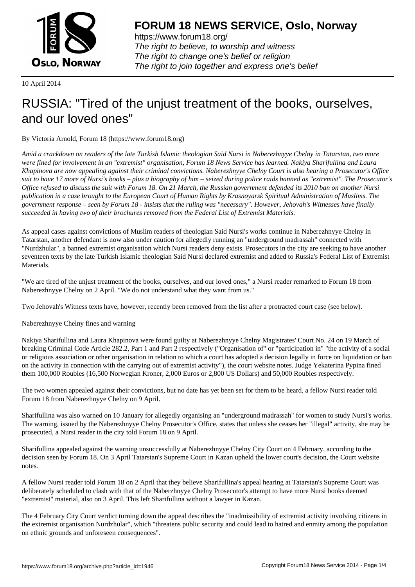

https://www.forum18.org/ The right to believe, to worship and witness The right to change one's belief or religion [The right to join together a](https://www.forum18.org/)nd express one's belief

10 April 2014

## [RUSSIA: "Tired](https://www.forum18.org) of the unjust treatment of the books, ourselves, and our loved ones"

By Victoria Arnold, Forum 18 (https://www.forum18.org)

*Amid a crackdown on readers of the late Turkish Islamic theologian Said Nursi in Naberezhnyye Chelny in Tatarstan, two more were fined for involvement in an "extremist" organisation, Forum 18 News Service has learned. Nakiya Sharifullina and Laura Khapinova are now appealing against their criminal convictions. Naberezhnyye Chelny Court is also hearing a Prosecutor's Office suit to have 17 more of Nursi's books – plus a biography of him – seized during police raids banned as "extremist". The Prosecutor's Office refused to discuss the suit with Forum 18. On 21 March, the Russian government defended its 2010 ban on another Nursi publication in a case brought to the European Court of Human Rights by Krasnoyarsk Spiritual Administration of Muslims. The government response – seen by Forum 18 - insists that the ruling was "necessary". However, Jehovah's Witnesses have finally succeeded in having two of their brochures removed from the Federal List of Extremist Materials.*

As appeal cases against convictions of Muslim readers of theologian Said Nursi's works continue in Naberezhnyye Chelny in Tatarstan, another defendant is now also under caution for allegedly running an "underground madrassah" connected with "Nurdzhular", a banned extremist organisation which Nursi readers deny exists. Prosecutors in the city are seeking to have another seventeen texts by the late Turkish Islamic theologian Said Nursi declared extremist and added to Russia's Federal List of Extremist Materials.

"We are tired of the unjust treatment of the books, ourselves, and our loved ones," a Nursi reader remarked to Forum 18 from Naberezhnyye Chelny on 2 April. "We do not understand what they want from us."

Two Jehovah's Witness texts have, however, recently been removed from the list after a protracted court case (see below).

Naberezhnyye Chelny fines and warning

Nakiya Sharifullina and Laura Khapinova were found guilty at Naberezhnyye Chelny Magistrates' Court No. 24 on 19 March of breaking Criminal Code Article 282.2, Part 1 and Part 2 respectively ("Organisation of" or "participation in" "the activity of a social or religious association or other organisation in relation to which a court has adopted a decision legally in force on liquidation or ban on the activity in connection with the carrying out of extremist activity"), the court website notes. Judge Yekaterina Pypina fined them 100,000 Roubles (16,500 Norwegian Kroner, 2,000 Euros or 2,800 US Dollars) and 50,000 Roubles respectively.

The two women appealed against their convictions, but no date has yet been set for them to be heard, a fellow Nursi reader told Forum 18 from Naberezhnyye Chelny on 9 April.

Sharifullina was also warned on 10 January for allegedly organising an "underground madrassah" for women to study Nursi's works. The warning, issued by the Naberezhnyye Chelny Prosecutor's Office, states that unless she ceases her "illegal" activity, she may be prosecuted, a Nursi reader in the city told Forum 18 on 9 April.

Sharifullina appealed against the warning unsuccessfully at Naberezhnyye Chelny City Court on 4 February, according to the decision seen by Forum 18. On 3 April Tatarstan's Supreme Court in Kazan upheld the lower court's decision, the Court website notes.

A fellow Nursi reader told Forum 18 on 2 April that they believe Sharifullina's appeal hearing at Tatarstan's Supreme Court was deliberately scheduled to clash with that of the Naberzhnyye Chelny Prosecutor's attempt to have more Nursi books deemed "extremist" material, also on 3 April. This left Sharifullina without a lawyer in Kazan.

The 4 February City Court verdict turning down the appeal describes the "inadmissibility of extremist activity involving citizens in the extremist organisation Nurdzhular", which "threatens public security and could lead to hatred and enmity among the population on ethnic grounds and unforeseen consequences".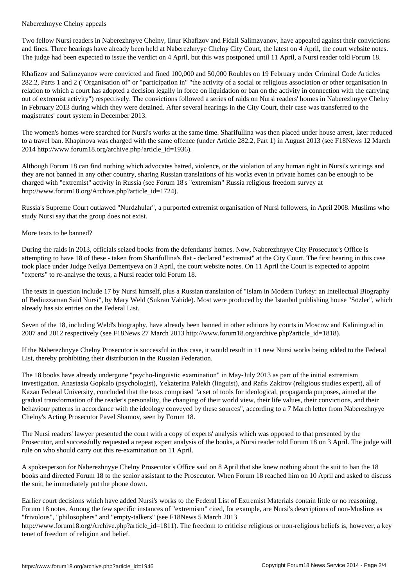Two fellow Nursi readers in Naberezhnyye Chelny, Ilnur Khafizov and Fidail Salimzyanov, have appealed against their convictions and fines. Three hearings have already been held at Naberezhnyye Chelny City Court, the latest on 4 April, the court website notes. The judge had been expected to issue the verdict on 4 April, but this was postponed until 11 April, a Nursi reader told Forum 18.

Khafizov and Salimzyanov were convicted and fined 100,000 and 50,000 Roubles on 19 February under Criminal Code Articles 282.2, Parts 1 and 2 ("Organisation of" or "participation in" "the activity of a social or religious association or other organisation in relation to which a court has adopted a decision legally in force on liquidation or ban on the activity in connection with the carrying out of extremist activity") respectively. The convictions followed a series of raids on Nursi readers' homes in Naberezhnyye Chelny in February 2013 during which they were detained. After several hearings in the City Court, their case was transferred to the magistrates' court system in December 2013.

The women's homes were searched for Nursi's works at the same time. Sharifullina was then placed under house arrest, later reduced to a travel ban. Khapinova was charged with the same offence (under Article 282.2, Part 1) in August 2013 (see F18News 12 March 2014 http://www.forum18.org/archive.php?article\_id=1936).

Although Forum 18 can find nothing which advocates hatred, violence, or the violation of any human right in Nursi's writings and they are not banned in any other country, sharing Russian translations of his works even in private homes can be enough to be charged with "extremist" activity in Russia (see Forum 18's "extremism" Russia religious freedom survey at http://www.forum18.org/Archive.php?article\_id=1724).

Russia's Supreme Court outlawed "Nurdzhular", a purported extremist organisation of Nursi followers, in April 2008. Muslims who study Nursi say that the group does not exist.

## More texts to be banned?

During the raids in 2013, officials seized books from the defendants' homes. Now, Naberezhnyye City Prosecutor's Office is attempting to have 18 of these - taken from Sharifullina's flat - declared "extremist" at the City Court. The first hearing in this case took place under Judge Neilya Dementyeva on 3 April, the court website notes. On 11 April the Court is expected to appoint "experts" to re-analyse the texts, a Nursi reader told Forum 18.

The texts in question include 17 by Nursi himself, plus a Russian translation of "Islam in Modern Turkey: an Intellectual Biography of Bediuzzaman Said Nursi", by Mary Weld (Sukran Vahide). Most were produced by the Istanbul publishing house "Sözler", which already has six entries on the Federal List.

Seven of the 18, including Weld's biography, have already been banned in other editions by courts in Moscow and Kaliningrad in 2007 and 2012 respectively (see F18News 27 March 2013 http://www.forum18.org/archive.php?article\_id=1818).

If the Naberezhnyye Chelny Prosecutor is successful in this case, it would result in 11 new Nursi works being added to the Federal List, thereby prohibiting their distribution in the Russian Federation.

The 18 books have already undergone "psycho-linguistic examination" in May-July 2013 as part of the initial extremism investigation. Anastasia Gopkalo (psychologist), Yekaterina Palekh (linguist), and Rafis Zakirov (religious studies expert), all of Kazan Federal University, concluded that the texts comprised "a set of tools for ideological, propaganda purposes, aimed at the gradual transformation of the reader's personality, the changing of their world view, their life values, their convictions, and their behaviour patterns in accordance with the ideology conveyed by these sources", according to a 7 March letter from Naberezhnyye Chelny's Acting Prosecutor Pavel Shamov, seen by Forum 18.

The Nursi readers' lawyer presented the court with a copy of experts' analysis which was opposed to that presented by the Prosecutor, and successfully requested a repeat expert analysis of the books, a Nursi reader told Forum 18 on 3 April. The judge will rule on who should carry out this re-examination on 11 April.

A spokesperson for Naberezhnyye Chelny Prosecutor's Office said on 8 April that she knew nothing about the suit to ban the 18 books and directed Forum 18 to the senior assistant to the Prosecutor. When Forum 18 reached him on 10 April and asked to discuss the suit, he immediately put the phone down.

Earlier court decisions which have added Nursi's works to the Federal List of Extremist Materials contain little or no reasoning, Forum 18 notes. Among the few specific instances of "extremism" cited, for example, are Nursi's descriptions of non-Muslims as "frivolous", "philosophers" and "empty-talkers" (see F18News 5 March 2013

http://www.forum18.org/Archive.php?article\_id=1811). The freedom to criticise religious or non-religious beliefs is, however, a key tenet of freedom of religion and belief.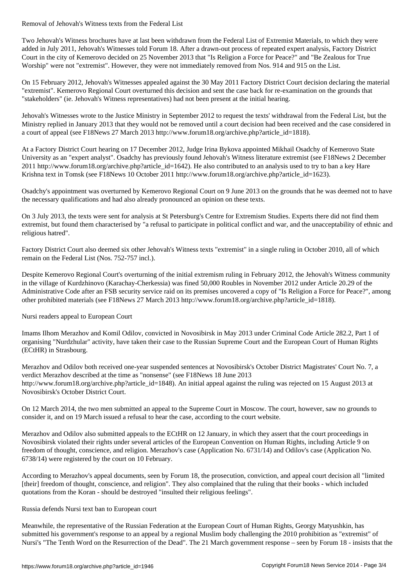Two Jehovah's Witness brochures have at last been withdrawn from the Federal List of Extremist Materials, to which they were added in July 2011, Jehovah's Witnesses told Forum 18. After a drawn-out process of repeated expert analysis, Factory District Court in the city of Kemerovo decided on 25 November 2013 that "Is Religion a Force for Peace?" and "Be Zealous for True Worship" were not "extremist". However, they were not immediately removed from Nos. 914 and 915 on the List.

On 15 February 2012, Jehovah's Witnesses appealed against the 30 May 2011 Factory District Court decision declaring the material "extremist". Kemerovo Regional Court overturned this decision and sent the case back for re-examination on the grounds that "stakeholders" (ie. Jehovah's Witness representatives) had not been present at the initial hearing.

Jehovah's Witnesses wrote to the Justice Ministry in September 2012 to request the texts' withdrawal from the Federal List, but the Ministry replied in January 2013 that they would not be removed until a court decision had been received and the case considered in a court of appeal (see F18News 27 March 2013 http://www.forum18.org/archive.php?article\_id=1818).

At a Factory District Court hearing on 17 December 2012, Judge Irina Bykova appointed Mikhail Osadchy of Kemerovo State University as an "expert analyst". Osadchy has previously found Jehovah's Witness literature extremist (see F18News 2 December 2011 http://www.forum18.org/archive.php?article\_id=1642). He also contributed to an analysis used to try to ban a key Hare Krishna text in Tomsk (see F18News 10 October 2011 http://www.forum18.org/archive.php?article\_id=1623).

Osadchy's appointment was overturned by Kemerovo Regional Court on 9 June 2013 on the grounds that he was deemed not to have the necessary qualifications and had also already pronounced an opinion on these texts.

On 3 July 2013, the texts were sent for analysis at St Petersburg's Centre for Extremism Studies. Experts there did not find them extremist, but found them characterised by "a refusal to participate in political conflict and war, and the unacceptability of ethnic and religious hatred".

Factory District Court also deemed six other Jehovah's Witness texts "extremist" in a single ruling in October 2010, all of which remain on the Federal List (Nos. 752-757 incl.).

Despite Kemerovo Regional Court's overturning of the initial extremism ruling in February 2012, the Jehovah's Witness community in the village of Kurdzhinovo (Karachay-Cherkessia) was fined 50,000 Roubles in November 2012 under Article 20.29 of the Administrative Code after an FSB security service raid on its premises uncovered a copy of "Is Religion a Force for Peace?", among other prohibited materials (see F18News 27 March 2013 http://www.forum18.org/archive.php?article\_id=1818).

Nursi readers appeal to European Court

Imams Ilhom Merazhov and Komil Odilov, convicted in Novosibirsk in May 2013 under Criminal Code Article 282.2, Part 1 of organising "Nurdzhular" activity, have taken their case to the Russian Supreme Court and the European Court of Human Rights (ECtHR) in Strasbourg.

Merazhov and Odilov both received one-year suspended sentences at Novosibirsk's October District Magistrates' Court No. 7, a verdict Merazhov described at the time as "nonsense" (see F18News 18 June 2013 http://www.forum18.org/archive.php?article\_id=1848). An initial appeal against the ruling was rejected on 15 August 2013 at Novosibirsk's October District Court.

On 12 March 2014, the two men submitted an appeal to the Supreme Court in Moscow. The court, however, saw no grounds to consider it, and on 19 March issued a refusal to hear the case, according to the court website.

Merazhov and Odilov also submitted appeals to the ECtHR on 12 January, in which they assert that the court proceedings in Novosibirsk violated their rights under several articles of the European Convention on Human Rights, including Article 9 on freedom of thought, conscience, and religion. Merazhov's case (Application No. 6731/14) and Odilov's case (Application No. 6738/14) were registered by the court on 10 February.

According to Merazhov's appeal documents, seen by Forum 18, the prosecution, conviction, and appeal court decision all "limited [their] freedom of thought, conscience, and religion". They also complained that the ruling that their books - which included quotations from the Koran - should be destroyed "insulted their religious feelings".

## Russia defends Nursi text ban to European court

Meanwhile, the representative of the Russian Federation at the European Court of Human Rights, Georgy Matyushkin, has submitted his government's response to an appeal by a regional Muslim body challenging the 2010 prohibition as "extremist" of Nursi's "The Tenth Word on the Resurrection of the Dead". The 21 March government response – seen by Forum 18 - insists that the